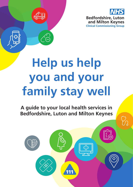

 $\bigcirc$ 



# **Help us help you and your family stay well**

**A guide to your local health services in Bedfordshire, Luton and Milton Keynes**

111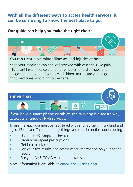# **With all the different ways to access health services, it can be confusing to know the best place to go.**

**Our guide can help you make the right choice.**



You can treat most minor illnesses and injuries at home.

Keep your medicine cabinet well-stocked with essentials like pain killers, antihistamine, cold and flu remedies, anti-diarrhoea and indigestion medicine. If you have children, make sure you've got the right medicines according to their age.



To use the app, you must be registered with a GP surgery in England and aged 13 or over. There are many things you can do on the app including:

- Use the NHS symptom checker
- Order your repeat prescriptions
- Get health advice
- See your test results and access other information on your health record
- See your NHS COVID vaccination status.

More information is available at **www.nhs.uk/nhs-app**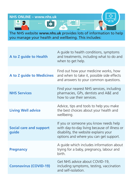

The NHS website **www.nhs.uk** provides lots of information to help you manage your health and wellbeing. This includes:

| A to Z guide to Health                  | A guide to health conditions, symptoms<br>and treatments, including what to do and<br>when to get help.                                                                  |
|-----------------------------------------|--------------------------------------------------------------------------------------------------------------------------------------------------------------------------|
| A to Z guide to Medicines               | Find out how your medicine works, how<br>and when to take it, possible side effects<br>and answers to your common questions.                                             |
| <b>NHS Services</b>                     | Find your nearest NHS services, including<br>pharmacies, GPs, dentists and A&E and<br>how to use their services.                                                         |
| <b>Living Well advice</b>               | Advice, tips and tools to help you make<br>the best choices about your health and<br>wellbeing.                                                                          |
| <b>Social care and support</b><br>guide | If you or someone you know needs help<br>with day-to-day living because of illness or<br>disability, the website explains your<br>options and where you can get support. |
| <b>Pregnancy</b>                        | A guide which includes information about<br>trying for a baby, pregnancy, labour and<br>birth.                                                                           |
| <b>Coronavirus (COVID-19)</b>           | Get NHS advice about COVID-19,<br>including symptoms, testing, vaccination<br>and self-isolation.                                                                        |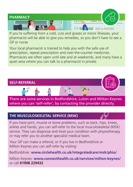

If you're suffering from a cold, cuts and grazes or minor illnesses, your pharmacist will be able to give you remedies, so you don't have to see a GP or nurse.

Your local pharmacist is trained to help you with the safe use of prescription, repeat prescription and over-the-counter medicines. Pharmacies are often open until late and at weekends, and many have a quiet area where you can talk to a pharmacist in private.



where you can 'self-refer', by contacting the provider directly.

# **THE MUSCULOSKELETAL SERVICE (MSK)**

If you have joint, muscle or bone problems, such as back, hips, knees, ankles and hands, you can self-refer to the local musculoskeletal (MSK) service. They can diagnose and treat your condition with physiotherapy or may refer you to another specialist medical team.

Your GP can make a referral, or if you live in Bedfordshire or Milton Keynes you can self-refer by visiting:

Bedfordshire: **www.circlehealth.co.uk/integratedcare/msk/phio/**

Milton Keynes: **www.connecthealth.co.uk/services/milton-keynes/** or call **01908 229432**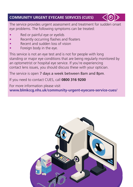# **COMMUNITY URGENT EYECARE SERVICES (CUES)**



The service provides urgent assessment and treatment for sudden onset eye problems. The following symptoms can be treated:

- Red or painful eye or eyelids
- Recently occurring flashes and floaters
- Recent and sudden loss of vision
- Foreign body in the eye.

This service is not an eye test and is not for people with long standing or major eye conditions that are being regularly monitored by an optometrist or hospital eye service. If you're experiencing contact lens issues, you should discuss these with your optician.

## The service is open 7 days a week between 8am and 8pm.

If you need to contact CUES, call **0800 316 9200**

For more information please visit **www.blmkccg.nhs.uk/community-urgent-eyecare-service-cues/** 

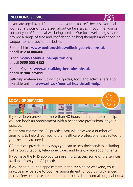## **WELLBEING SERVICE**



If you are aged over 18 and are not your usual self, because you feel worried, anxious or depressed about certain issues in your life, you can contact your GP or local wellbeing service. Our local wellbeing services provide a range of free and confidential talking therapies and specialist support to help you to feel better.

Bedfordshire: **www.bedfordshirewellbeingservice.nhs.uk** or call **01234 880400**

Luton: **www.totalwellbeingluton.org** or call **0300 555 4152**

Milton Keynes: **www.mktalkingtherapies.nhs.uk** or call **01908 725099**

Self-help materials including tips, guides, tools and activities are also available online: **www.nhs.uk/mental-health/self-help/** 

#### **LOCAL GP SERVICES**

If you've been unwell for more than 48 hours and need medical help, you can book an appointment with a healthcare professional at your GP practice.

When you contact the GP practice, you will be asked a number of questions to help direct you to the healthcare professional best suited for your health care needs.

GP practices provide many ways you can access their services including online consultations, telephone, video and face-to-face appointments.

If you have the NHS app you can use this to access some of the services available from your GP practice.

If you need a routine appointment in the evening or weekend, your practice may be able to book an appointment for you using Extended Access Services (these are appointments outside of normal surgery hours).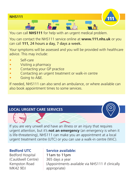

You can call **NHS111** for help with an urgent medical problem.

You can contact the NHS111 service online at **www.111.nhs.uk** or you can call **111**, 24 hours a day, 7 days a week.

Your symptoms will be assessed and you will be provided with healthcare advice. This may include:

- Self-care
- Visiting a pharmacy
- Contacting your GP practice
- Contacting an urgent treatment or walk-in centre
- Going to A&E.

If needed, NHS111 can also send an ambulance, or where available can also book appointment times to some services.

# **LOCAL URGENT CARE SERVICES**

If you are very unwell and have an illness or an injury that requires urgent attention, but it's **not an emergency** (an emergency is when it is life-threatening), NHS111 can make you an appointment at a local urgent treatment centre (UTC) or you can use a walk-in centre (WiC).

#### **Bedford UTC**

Bedford Hospital (Cauldwell Centre) Kempston Road MK42 9DJ

# **Service available:** 11am to 11pm 365 days a year (Appointments available via NHS111 if clinically appropriate)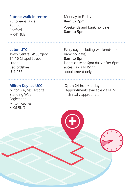#### **Putnoe walk-in centre**

93 Queens Drive Putnoe Bedford MK41 9JE

#### **Luton UTC**

Town Centre GP Surgery 14-16 Chapel Street Luton Bedfordshire LU1 2SE

## **Milton Keynes UCC**

Milton Keynes Hospital Standing Way Eaglestone Milton Keynes MK6 5NG

## Monday to Friday 8am to 2pm

Weekends and bank holidays 8am to 5pm

Every day (including weekends and bank holidays) 8am to 8pm Doors close at 6pm daily, after 6pm access is via NHS111 appointment only

Open 24 hours a day (Appointments available via NHS111 if clinically appropriate)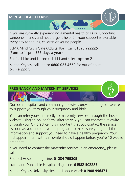#### **MENTAL HEALTH CRISIS**



If you are currently experiencing a mental health crisis or supporting someone in crisis and need urgent help, 24-hour support is available every day for adults, children or young people.

BLMK Mind Crisis Café (Adults 18+): Call **01525 722225**  (5pm to 11pm, 365 days a year)

Bedfordshire and Luton: call **111** and select option 2

Milton Keynes: call **111** or **0800 023 4650** for out of hours crisis support.



Our local hospitals and community midwives provide a range of services to support you through your pregnancy and birth.

You can refer yourself directly to maternity services through the hospital website using an online form. Alternatively, you can contact a midwife through your GP practice. It is important that you contact the service as soon as you find out you're pregnant to make sure you get all the information and support you need to have a healthy pregnancy. Your first appointment with a midwife should happen before you're 10 weeks pregnant.

If you need to contact the maternity services in an emergency, please call:

Bedford Hospital triage line: **01234 795805**

Luton and Dunstable Hospital triage line: **01582 502285**

Milton Keynes University Hospital Labour ward: **01908 996471**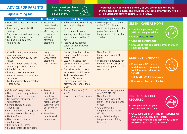# **ADVICE FOR PARENTS** As a parent you have

**Signs relating to:**

**great instincts, please do use them.**

**If you feel that your child is unwell, or you are unable to care for them, seek medical help. This could be your local pharmacist, NHS111, GP, an urgent treatment centre (UTC) or A&E.** 

| <b>Appearance</b>                                                                                                                                                                                                                                                                                                                                                                               | <b>Breathing/Chest</b>                                                                                                                                                  | <b>Hydration</b>                                                                                                                                                                                                                                                                                                                | <b>Temperature</b>                                                                                                                                                                                                                                                  |                                                                                                                                                                                                                                                                    |
|-------------------------------------------------------------------------------------------------------------------------------------------------------------------------------------------------------------------------------------------------------------------------------------------------------------------------------------------------------------------------------------------------|-------------------------------------------------------------------------------------------------------------------------------------------------------------------------|---------------------------------------------------------------------------------------------------------------------------------------------------------------------------------------------------------------------------------------------------------------------------------------------------------------------------------|---------------------------------------------------------------------------------------------------------------------------------------------------------------------------------------------------------------------------------------------------------------------|--------------------------------------------------------------------------------------------------------------------------------------------------------------------------------------------------------------------------------------------------------------------|
| • Normal skin, lips and tongue<br>colour<br>• Responding normally/still<br>smiling<br>• Stays awake or wakes up easily<br>• Normal cry or strong cry<br>· Mild pain e.g. earache,<br>tummy ache                                                                                                                                                                                                 | • Breathing<br>normally with<br>no wheeze<br>• Mild cough or<br>runny nose<br>without<br>affecting<br>breathing                                                         | • Baby feeding/child drinking<br>as normal or slightly<br>reduced<br>• Sick, but drinking and<br>keeping most fluids down<br>• Diarrhoea for less than 2<br>days<br>• Passing urine, normal<br>colour or slightly darker<br>than usual                                                                                          | • Mild temperature raised up<br>to 38°C (101°F) but<br>controlled if paracetamol is<br>given. Seek advice if<br>temperature continues for<br>3-5 days                                                                                                               | <b>GREEN - CARE AT HOME</b><br>• Your local pharmacist or<br>NHS111 can give advice<br>• Check www.nhs.uk<br>• Consider paracetamol<br>• Encourage rest and drinks, even if only in<br>small amounts                                                               |
| Child becoming worse/parents<br>more concerned<br>• Less activity/more sleepy than<br>usual<br>• Change in normal behaviour/<br>not acting in usual manner<br>· Irritable/no smile<br>Pain e.g. persistent severe<br>earache, severe tummy ache -<br>seek advice<br>Mild/moderate allergic reaction<br>- seek advice                                                                            | <b>Noisy</b><br>breathing/<br>wheezy/fast<br>breathing/<br>nasal 'flaring'                                                                                              | Drinking less than half of<br>usual amounts/vomiting<br>most feeds<br>• Less wet nappies than<br>usual/less urine or darker<br>concentrated urine<br>• For babies under 1 year -<br>sick more than 3 times in<br>24 hours, diarrhoea 6<br>times in 24 hours<br>For children 1 and over -<br>diarrhoea for longer than<br>2 days | • Over 3 months -<br>temperature over 39°C<br>$(102^{\circ} F)$<br>Persistent temperature for<br>more than 3-5 days or not<br>controlled by paracetamol -<br>seek advice                                                                                            | <b>AMBER - GP/NHS111</b><br>• Phone your GP for advice<br>and decision - this may be<br>by telephone/video or face<br>to face<br>• Call GP/NHS111 if concerned<br>• If worried, always seek advice                                                                 |
| • Collapse/unresponsive<br>• Hard to wake/floppy or listless<br>• Mottled blue or ashen skin<br>• Fitting (seizure) without a<br>temperature<br>• Severe allergic reaction/<br>anaphylaxis<br>• Rash that does NOT disappear<br>under pressure (glass test)<br>• Neck stiffness<br>• High pitched, weak or<br>continuous cry<br>• Bile stained sick (green)<br>• Bulging fontanelle (soft spot) | • Severe<br>difficulty in<br>breathing<br>• Grunting/very<br>fast breathing/<br>sucking in and<br>out between<br>ribs<br>Breathless -<br>unable to talk<br>in sentences | • Sunken fontanelle (soft<br>spot)<br>• Very little urine/dry nappies                                                                                                                                                                                                                                                           | • 0-3 months - temperature<br>over 38°C (101°F)<br>• Over 3 months -<br>temperature over 39°C<br>(102°F) and/or cold hands<br>or feet<br>• Any child with a<br>temperature below 36°C<br>(97° F)<br>• Any child with a high<br>temperature and fitting<br>(seizure) | <b>RED - URGENT HELP</b><br><b>REQUIRED</b><br>• Take your child to your<br>nearest A&E department<br>• CALL 999 FOR BREATHING DIFFICULTIES OR<br><b>A NON-BLANCHING RASH (rash</b><br>that does not fade and lose colour under<br>pressure - glass test)/COLLAPSE |